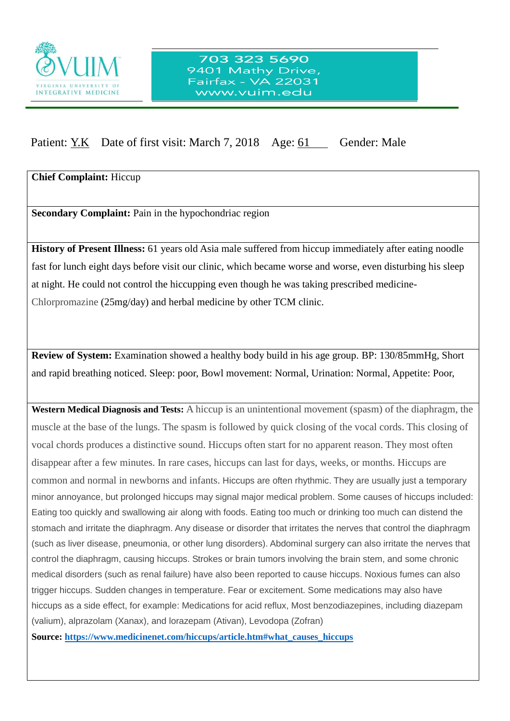

## Patient: Y.K Date of first visit: March 7, 2018 Age: 61 Gender: Male

**Chief Complaint:** Hiccup

**Secondary Complaint:** Pain in the hypochondriac region

 $\overline{a}$ 

**History of Present Illness:** 61 years old Asia male suffered from hiccup immediately after eating noodle fast for lunch eight days before visit our clinic, which became worse and worse, even disturbing his sleep at night. He could not control the hiccupping even though he was taking prescribed medicine-Chlorpromazine (25mg/day) and herbal medicine by other TCM clinic.

**Review of System:** Examination showed a healthy body build in his age group. BP: 130/85mmHg, Short and rapid breathing noticed. Sleep: poor, Bowl movement: Normal, Urination: Normal, Appetite: Poor,

**Western Medical Diagnosis and Tests:** A hiccup is an unintentional movement (spasm) of the diaphragm, the muscle at the base of the lungs. The spasm is followed by quick closing of the vocal cords. This closing of vocal chords produces a distinctive sound. Hiccups often start for no apparent reason. They most often disappear after a few minutes. In rare cases, hiccups can last for days, weeks, or months. Hiccups are common and normal in newborns and infants. Hiccups are often rhythmic. They are usually just a temporary minor annoyance, but prolonged hiccups may signal major medical problem. Some causes of hiccups included: Eating too quickly and swallowing air along with foods. Eating too much or drinking too much can distend the stomach and irritate the diaphragm. Any disease or disorder that irritates the nerves that control the diaphragm (such as liver disease, pneumonia, or other lung disorders). Abdominal surgery can also irritate the nerves that control the diaphragm, causing hiccups. Strokes or brain tumors involving the brain stem, and some chronic medical disorders (such as renal failure) have also been reported to cause hiccups. Noxious fumes can also trigger hiccups. Sudden changes in temperature. Fear or excitement. Some medications may also have hiccups as a side effect, for example: Medications for acid reflux, Most benzodiazepines, including diazepam (valium), alprazolam (Xanax), and lorazepam (Ativan), Levodopa (Zofran)

**Source: [https://www.medicinenet.com/hiccups/article.htm#what\\_causes\\_hiccups](https://www.medicinenet.com/hiccups/article.htm#what_causes_hiccups)**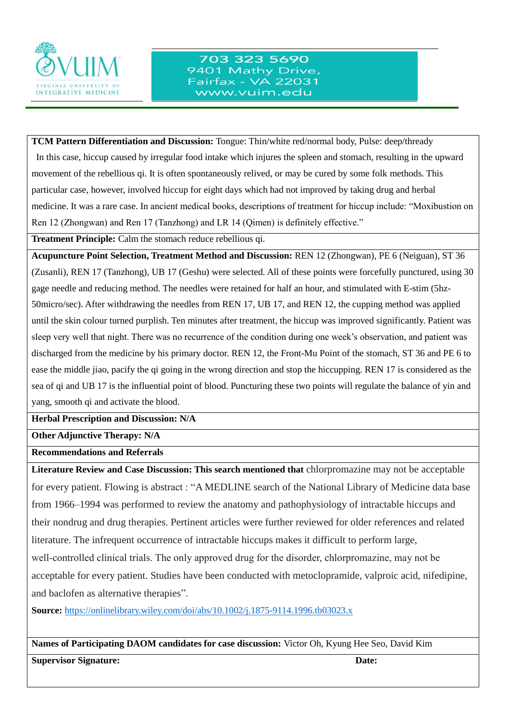

## 703 323 5690 9401 Mathy Drive, Fairfax - VA 22031 www.vuim.edu

**TCM Pattern Differentiation and Discussion:** Tongue: Thin/white red/normal body, Pulse: deep/thready In this case, hiccup caused by irregular food intake which injures the spleen and stomach, resulting in the upward movement of the rebellious qi. It is often spontaneously relived, or may be cured by some folk methods. This particular case, however, involved hiccup for eight days which had not improved by taking drug and herbal medicine. It was a rare case. In ancient medical books, descriptions of treatment for hiccup include: "Moxibustion on Ren 12 (Zhongwan) and Ren 17 (Tanzhong) and LR 14 (Qimen) is definitely effective."

**Treatment Principle:** Calm the stomach reduce rebellious qi.

 $\overline{a}$ 

**Acupuncture Point Selection, Treatment Method and Discussion:** REN 12 (Zhongwan), PE 6 (Neiguan), ST 36 (Zusanli), REN 17 (Tanzhong), UB 17 (Geshu) were selected. All of these points were forcefully punctured, using 30 gage needle and reducing method. The needles were retained for half an hour, and stimulated with E-stim (5hz-50micro/sec). After withdrawing the needles from REN 17, UB 17, and REN 12, the cupping method was applied until the skin colour turned purplish. Ten minutes after treatment, the hiccup was improved significantly. Patient was sleep very well that night. There was no recurrence of the condition during one week's observation, and patient was discharged from the medicine by his primary doctor. REN 12, the Front-Mu Point of the stomach, ST 36 and PE 6 to ease the middle jiao, pacify the qi going in the wrong direction and stop the hiccupping. REN 17 is considered as the sea of qi and UB 17 is the influential point of blood. Puncturing these two points will regulate the balance of yin and yang, smooth qi and activate the blood.

**Herbal Prescription and Discussion: N/A**

**Other Adjunctive Therapy: N/A**

**Recommendations and Referrals**

**Literature Review and Case Discussion: This search mentioned that** chlorpromazine may not be acceptable for every patient. Flowing is abstract : "A MEDLINE search of the National Library of Medicine data base from 1966–1994 was performed to review the anatomy and pathophysiology of intractable hiccups and their nondrug and drug therapies. Pertinent articles were further reviewed for older references and related literature. The infrequent occurrence of intractable hiccups makes it difficult to perform large, well-controlled clinical trials. The only approved drug for the disorder, chlorpromazine, may not be acceptable for every patient. Studies have been conducted with metoclopramide, valproic acid, nifedipine, and baclofen as alternative therapies".

**Source:** <https://onlinelibrary.wiley.com/doi/abs/10.1002/j.1875-9114.1996.tb03023.x>

**Names of Participating DAOM candidates for case discussion:** Victor Oh, Kyung Hee Seo, David Kim

**Supervisor Signature:** Date: